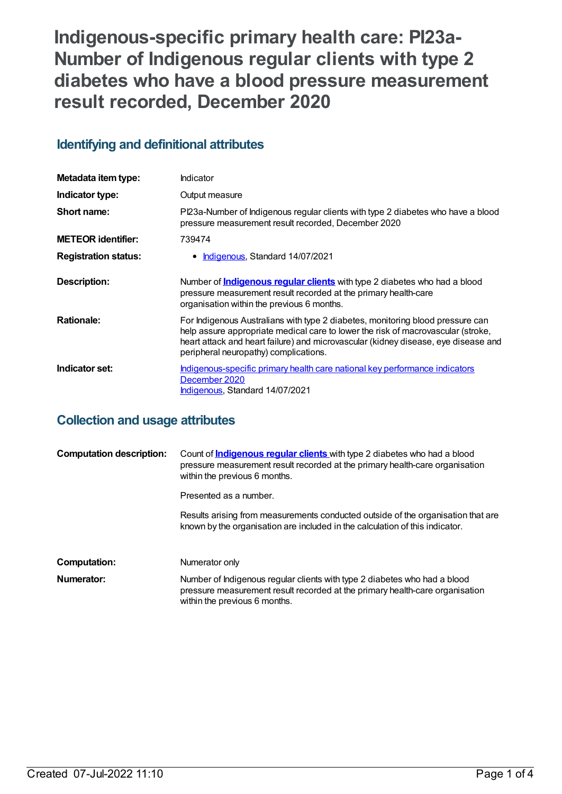**Indigenous-specific primary health care: PI23a-Number of Indigenous regular clients with type 2 diabetes who have a blood pressure measurement result recorded, December 2020**

# **Identifying and definitional attributes**

| Metadata item type:         | Indicator                                                                                                                                                                                                                                                                                         |
|-----------------------------|---------------------------------------------------------------------------------------------------------------------------------------------------------------------------------------------------------------------------------------------------------------------------------------------------|
| Indicator type:             | Output measure                                                                                                                                                                                                                                                                                    |
| Short name:                 | Pl23a-Number of Indigenous regular clients with type 2 diabetes who have a blood<br>pressure measurement result recorded, December 2020                                                                                                                                                           |
| <b>METEOR</b> identifier:   | 739474                                                                                                                                                                                                                                                                                            |
| <b>Registration status:</b> | Indigenous, Standard 14/07/2021                                                                                                                                                                                                                                                                   |
| <b>Description:</b>         | Number of <b>Indigenous regular clients</b> with type 2 diabetes who had a blood<br>pressure measurement result recorded at the primary health-care<br>organisation within the previous 6 months.                                                                                                 |
| <b>Rationale:</b>           | For Indigenous Australians with type 2 diabetes, monitoring blood pressure can<br>help assure appropriate medical care to lower the risk of macrovascular (stroke,<br>heart attack and heart failure) and microvascular (kidney disease, eye disease and<br>peripheral neuropathy) complications. |
| Indicator set:              | Indigenous-specific primary health care national key performance indicators<br>December 2020<br>Indigenous, Standard 14/07/2021                                                                                                                                                                   |

## **Collection and usage attributes**

| <b>Computation description:</b> | Count of <b>Indigenous regular clients</b> with type 2 diabetes who had a blood<br>pressure measurement result recorded at the primary health-care organisation<br>within the previous 6 months. |
|---------------------------------|--------------------------------------------------------------------------------------------------------------------------------------------------------------------------------------------------|
|                                 | Presented as a number.                                                                                                                                                                           |
|                                 | Results arising from measurements conducted outside of the organisation that are<br>known by the organisation are included in the calculation of this indicator.                                 |
| Computation:                    | Numerator only                                                                                                                                                                                   |
| Numerator:                      | Number of Indigenous regular clients with type 2 diabetes who had a blood<br>pressure measurement result recorded at the primary health-care organisation<br>within the previous 6 months.       |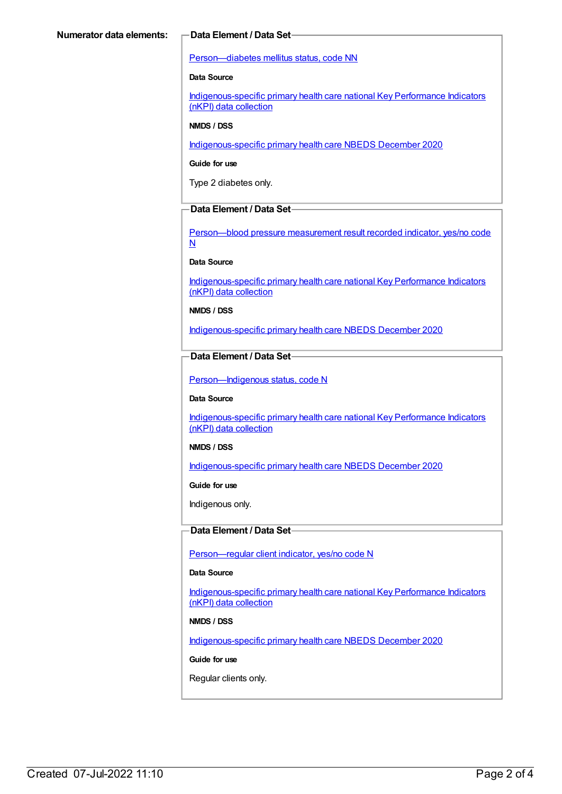#### [Person—diabetes](https://meteor.aihw.gov.au/content/270194) mellitus status, code NN

#### **Data Source**

[Indigenous-specific](https://meteor.aihw.gov.au/content/737914) primary health care national Key Performance Indicators (nKPI) data collection

#### **NMDS / DSS**

[Indigenous-specific](https://meteor.aihw.gov.au/content/738532) primary health care NBEDS December 2020

#### **Guide for use**

Type 2 diabetes only.

### **Data Element / Data Set**

[Person—blood](https://meteor.aihw.gov.au/content/441407) pressure measurement result recorded indicator, yes/no code N

#### **Data Source**

[Indigenous-specific](https://meteor.aihw.gov.au/content/737914) primary health care national Key Performance Indicators (nKPI) data collection

#### **NMDS / DSS**

[Indigenous-specific](https://meteor.aihw.gov.au/content/738532) primary health care NBEDS December 2020

#### **Data Element / Data Set**

Person-Indigenous status, code N

#### **Data Source**

[Indigenous-specific](https://meteor.aihw.gov.au/content/737914) primary health care national Key Performance Indicators (nKPI) data collection

#### **NMDS / DSS**

[Indigenous-specific](https://meteor.aihw.gov.au/content/738532) primary health care NBEDS December 2020

#### **Guide for use**

Indigenous only.

#### **Data Element / Data Set**

[Person—regular](https://meteor.aihw.gov.au/content/686291) client indicator, yes/no code N

### **Data Source**

[Indigenous-specific](https://meteor.aihw.gov.au/content/737914) primary health care national Key Performance Indicators (nKPI) data collection

#### **NMDS / DSS**

[Indigenous-specific](https://meteor.aihw.gov.au/content/738532) primary health care NBEDS December 2020

#### **Guide for use**

Regular clients only.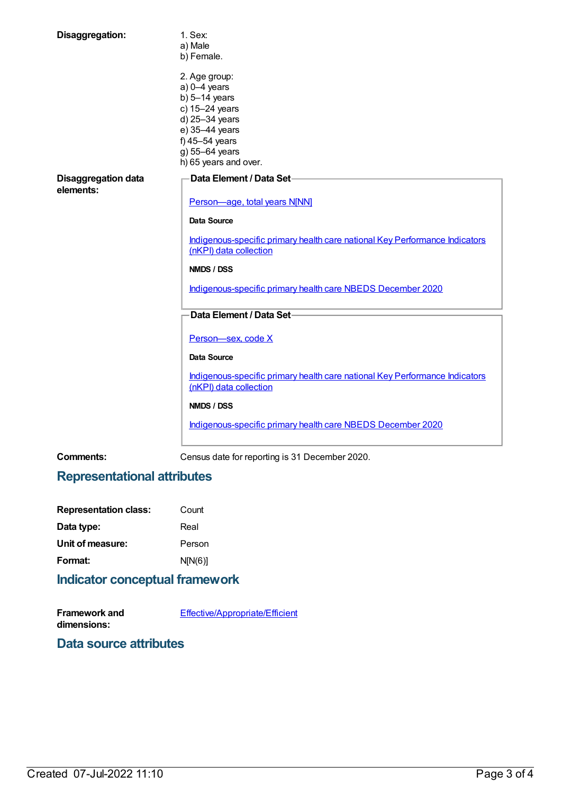| Disaggregation:                         | 1. Sex:                                                                                               |
|-----------------------------------------|-------------------------------------------------------------------------------------------------------|
|                                         | a) Male                                                                                               |
|                                         | b) Female.                                                                                            |
|                                         | 2. Age group:                                                                                         |
|                                         | $a)$ 0-4 years                                                                                        |
|                                         | b) $5-14$ years                                                                                       |
|                                         | c) 15-24 years                                                                                        |
|                                         | d) 25-34 years                                                                                        |
|                                         | e) 35-44 years                                                                                        |
|                                         | f) 45-54 years                                                                                        |
|                                         | g) 55-64 years                                                                                        |
|                                         | h) 65 years and over.                                                                                 |
|                                         |                                                                                                       |
| <b>Disaggregation data</b><br>elements: | Data Element / Data Set-                                                                              |
|                                         | Person-age, total years N[NN]                                                                         |
|                                         | Data Source                                                                                           |
|                                         | Indigenous-specific primary health care national Key Performance Indicators<br>(nKPI) data collection |
|                                         | NMDS / DSS                                                                                            |
|                                         | Indigenous-specific primary health care NBEDS December 2020                                           |
|                                         | Data Element / Data Set-                                                                              |
|                                         | Person-sex, code X                                                                                    |
|                                         | <b>Data Source</b>                                                                                    |
|                                         | Indigenous-specific primary health care national Key Performance Indicators                           |
|                                         | (nKPI) data collection                                                                                |
|                                         | <b>NMDS / DSS</b>                                                                                     |
|                                         | Indigenous-specific primary health care NBEDS December 2020                                           |
|                                         |                                                                                                       |

**Comments:** Census date for reporting is 31 December 2020.

# **Representational attributes**

| <b>Representation class:</b> | Count   |  |
|------------------------------|---------|--|
| Data type:                   | Real    |  |
| Unit of measure:             | Person  |  |
| Format:                      | N[N(6)] |  |
|                              |         |  |

# **Indicator conceptual framework**

| <b>Framework and</b> | Effective/Appropriate/Efficient |
|----------------------|---------------------------------|
| dimensions:          |                                 |

**Data source attributes**